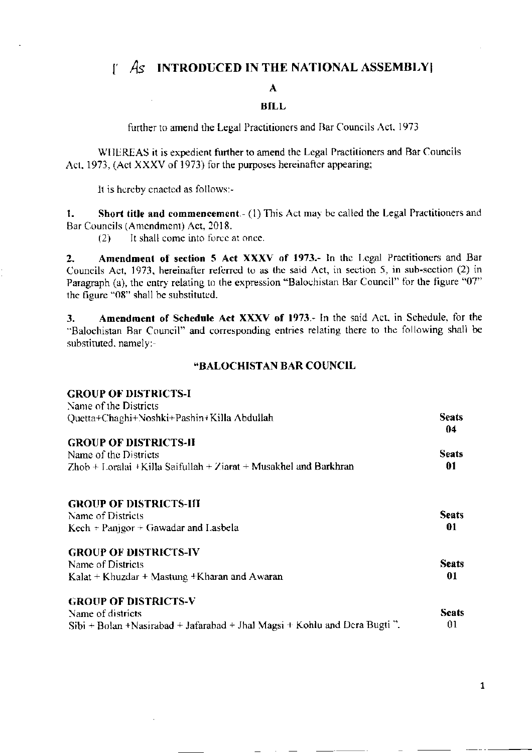# $\int$   $\mathcal{A}$  INTRODUCED IN THE NATIONAL ASSEMBLY

## A

## **BILL**

further to amend the Legal Practitioners and Bar Councils Act, 1973

WHEREAS it is expedient further to amend the Legal Practitioners and Bar Councils Act, 1973, (Act XXXV of 1973) for the purposes hereinafter appearing;

It is hereby enacted as follows:-

Short title and commencement.- (1) This Act may be called the Legal Practitioners and  $\mathbf{1}$ . Bar Councils (Amendment) Act, 2018.

It shall come into force at once.  $(2)$ 

Amendment of section 5 Act XXXV of 1973.- In the Legal Practitioners and Bar  $2.$ Councils Act, 1973, hereinafter referred to as the said Act, in section 5, in sub-section (2) in Paragraph (a), the entry relating to the expression "Balochistan Bar Council" for the figure "07" the figure "08" shall be substituted.

Amendment of Schedule Act XXXV of 1973.- In the said Act, in Schedule, for the 3. "Balochistan Bar Council" and corresponding entries relating there to the following shall be substituted, namely:-

#### **"BALOCHISTAN BAR COUNCIL**

| <b>GROUP OF DISTRICTS-I</b>                                                 |                    |
|-----------------------------------------------------------------------------|--------------------|
| Name of the Districts                                                       |                    |
| Quetta+Chaghi+Noshki+Pashin+Killa Abdullah                                  | <b>Seats</b><br>04 |
| <b>GROUP OF DISTRICTS-II</b>                                                |                    |
| Name of the Districts                                                       | <b>Seats</b>       |
| Zhob + Loralai + Killa Saifullah + Ziarat + Musakhel and Barkhran           | 01                 |
| <b>GROUP OF DISTRICTS-III</b>                                               |                    |
| Name of Districts                                                           | <b>Seats</b>       |
| $Kech$ + Panjgor + Gawadar and Lasbela                                      | 01                 |
| <b>GROUP OF DISTRICTS-IV</b>                                                |                    |
| Name of Districts                                                           | <b>Seats</b>       |
| Kalat + Khuzdar + Mastung + Kharan and Awaran                               | 01                 |
| <b>GROUP OF DISTRICTS-V</b>                                                 |                    |
| Name of districts                                                           | <b>Seats</b>       |
| Sibi + Bolan + Nasirabad + Jafarabad + Jhal Magsi + Kohlu and Dera Bugti ". | 01                 |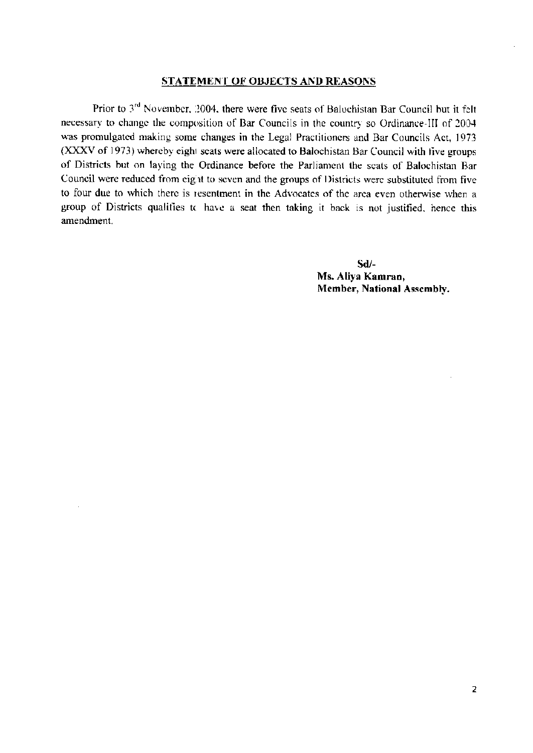#### **STATEMENT OF OBJECTS AND REASONS**

Prior to 3<sup>rd</sup> November, 2004, there were five seats of Baluchistan Bar Council but it felt necessary to change the composition of Bar Councils in the country so Ordinance-III of 2004 was promulgated making some changes in the Legal Practitioners and Bar Councils Act, 1973 (XXXV of 1973) whereby eight seats were allocated to Balochistan Bar Council with five groups of Districts but on laying the Ordinance before the Parliament the seats of Balochistan Bar Council were reduced from eight to seven and the groups of Districts were substituted from five to four due to which there is resentment in the Advocates of the area even otherwise when a group of Districts qualifies to have a seat then taking it back is not justified, hence this amendment.

> $Sd$ /-Ms. Aliya Kamran, Member, National Assembly.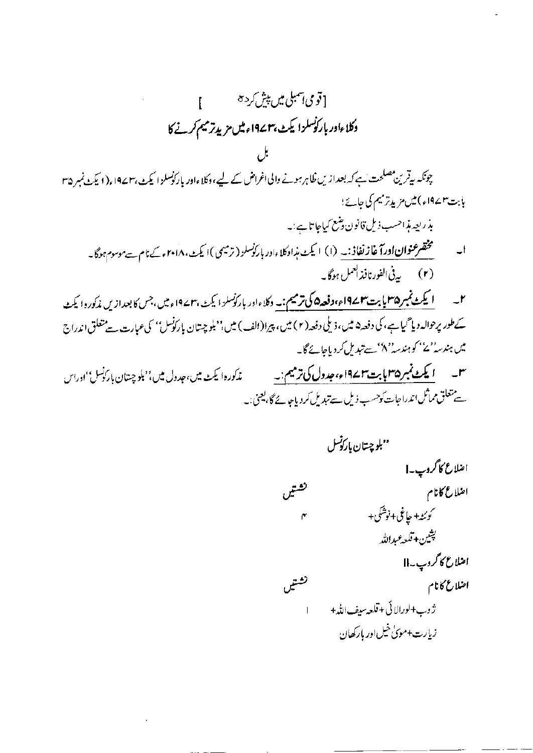[قومی <sub>ا</sub>سمبلی میں پیش کرد ہ L دكلاءادر باركوسلزا يكث بهم194ء میں مزيد ترميم كرنے كا چونکہ بیقر پن مصلحت ہے کہ بعدازیں ظاہر ہونے والی اغراض کے لیے، وکلاءادر پارکوسلز ا کیٹ ،۱۹۷۳ ،(۱ یکٹ نمبر ۳۵ بابت۳سماء)میں مزید ترمیم کی جائے؛ بذريعه مذاحسب ذيل قانون وضع كياجاتا ہے:۔ ا۔ مستحق عنوان اورآ غاز نفاذ:۔ (۱) ایکٹ مذادکلاءادر ہار کوسلز (ترمیمی)ایکٹ، ۲۰۱۸ء کے نام ہےموسوم ہوگا۔ (۲) \_\_ بەفى الفور نافذ العمل ہوگا بە ۲۔ ایکٹ نمبر ۱۹۵۵ پابت ۱۹۷۲ء، دفعہ ۵ کی ترمیم:۔ وکلاءاور بارکوسلز ایکٹ، ۱۹۷۲ء میں، جس کا بعدازیں مذکور دایکٹ کے طور پرحوالہ دیا گیا ہے، کی دفعہ۵ میں، ذیلی دفعہ(۲) میں، پیرا(الف) میں،''بلوچیتان بارکونس'' کی عبارت سے متعلق اندراج میں ہند<sub>س</sub> ''ے'' کوہندسہ '' کا سے تبدیل کردیاجائے گا۔ س پس ایکٹ نمبر ۱۹۳۵ بابت ۱۹۷۲ء، جدول کی ترمیم:۔ پس پی زیادہ؛ یکٹ میں، جدول میں،''بلوچستان بارکونس''ادراس

ے متعلق مماثل اندراجات کوحسب ذیل سے تبدیل کر دیاجا نے گا، یعنی:۔

''بلوچىتان بار*ۇنس* اضلاع کاگروپ۔| تشتيں اضلاع كانام ر<br>سوئٹہ+ حافی+نوشکی+ ۴ پشين+قلعه عبدالله امنلاع كأكروب به إ تشتيں اضلاع كانام ژوب+لورالائی+قلعه بیف!لڈ + زیارت+مویٰ خیلاور بارکھان